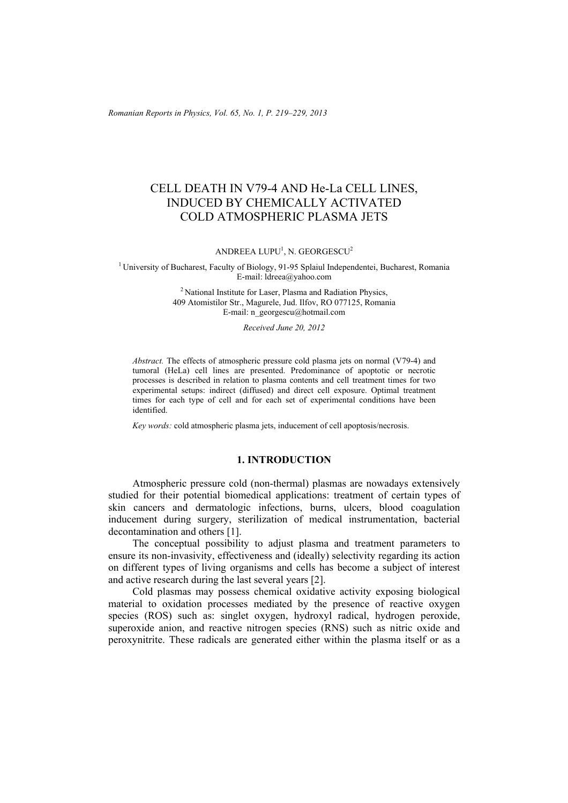*Romanian Reports in Physics, Vol. 65, No. 1, P. 219–229, 2013*

# CELL DEATH IN V79-4 AND He-La CELL LINES, INDUCED BY CHEMICALLY ACTIVATED COLD ATMOSPHERIC PLASMA JETS

ANDREEA LUPU<sup>1</sup>, N. GEORGESCU<sup>2</sup>

<sup>1</sup> University of Bucharest, Faculty of Biology, 91-95 Splaiul Independentei, Bucharest, Romania E-mail: ldreea@yahoo.com

> 2 National Institute for Laser, Plasma and Radiation Physics, 409 Atomistilor Str., Magurele, Jud. Ilfov, RO 077125, Romania E-mail: n\_georgescu@hotmail.com

> > *Received June 20, 2012*

*Abstract.* The effects of atmospheric pressure cold plasma jets on normal (V79-4) and tumoral (HeLa) cell lines are presented. Predominance of apoptotic or necrotic processes is described in relation to plasma contents and cell treatment times for two experimental setups: indirect (diffused) and direct cell exposure. Optimal treatment times for each type of cell and for each set of experimental conditions have been identified.

*Key words:* cold atmospheric plasma jets, inducement of cell apoptosis/necrosis.

## **1. INTRODUCTION**

Atmospheric pressure cold (non-thermal) plasmas are nowadays extensively studied for their potential biomedical applications: treatment of certain types of skin cancers and dermatologic infections, burns, ulcers, blood coagulation inducement during surgery, sterilization of medical instrumentation, bacterial decontamination and others [1].

The conceptual possibility to adjust plasma and treatment parameters to ensure its non-invasivity, effectiveness and (ideally) selectivity regarding its action on different types of living organisms and cells has become a subject of interest and active research during the last several years [2].

Cold plasmas may possess chemical oxidative activity exposing biological material to oxidation processes mediated by the presence of reactive oxygen species (ROS) such as: singlet oxygen, hydroxyl radical, hydrogen peroxide, superoxide anion, and reactive nitrogen species (RNS) such as nitric oxide and peroxynitrite. These radicals are generated either within the plasma itself or as a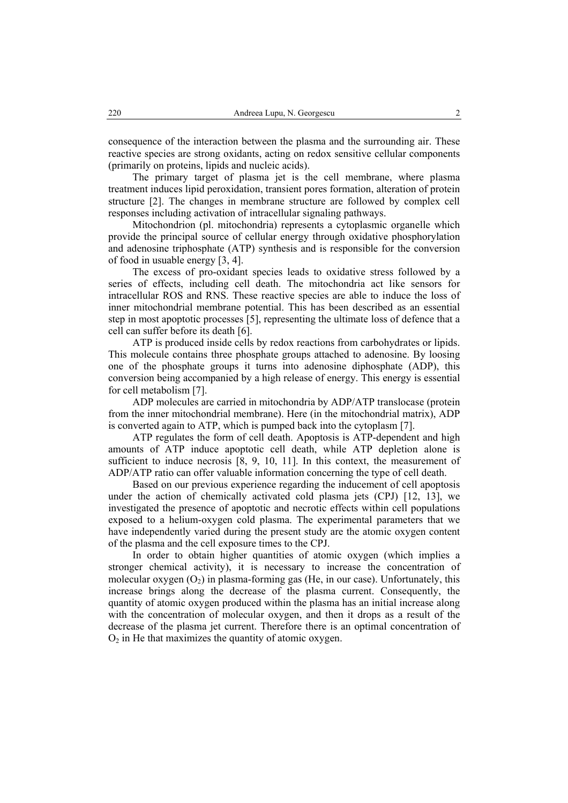consequence of the interaction between the plasma and the surrounding air. These reactive species are strong oxidants, acting on redox sensitive cellular components (primarily on proteins, lipids and nucleic acids).

The primary target of plasma jet is the cell membrane, where plasma treatment induces lipid peroxidation, transient pores formation, alteration of protein structure [2]. The changes in membrane structure are followed by complex cell responses including activation of intracellular signaling pathways.

Mitochondrion (pl. mitochondria) represents a cytoplasmic organelle which provide the principal source of cellular energy through oxidative phosphorylation and adenosine triphosphate (ATP) synthesis and is responsible for the conversion of food in usuable energy [3, 4].

The excess of pro-oxidant species leads to oxidative stress followed by a series of effects, including cell death. The mitochondria act like sensors for intracellular ROS and RNS. These reactive species are able to induce the loss of inner mitochondrial membrane potential. This has been described as an essential step in most apoptotic processes [5], representing the ultimate loss of defence that a cell can suffer before its death [6].

ATP is produced inside cells by redox reactions from carbohydrates or lipids. This molecule contains three phosphate groups attached to adenosine. By loosing one of the phosphate groups it turns into adenosine diphosphate (ADP), this conversion being accompanied by a high release of energy. This energy is essential for cell metabolism [7].

ADP molecules are carried in mitochondria by ADP/ATP translocase (protein from the inner mitochondrial membrane). Here (in the mitochondrial matrix), ADP is converted again to ATP, which is pumped back into the cytoplasm [7].

ATP regulates the form of cell death. Apoptosis is ATP-dependent and high amounts of ATP induce apoptotic cell death, while ATP depletion alone is sufficient to induce necrosis [8, 9, 10, 11]. In this context, the measurement of ADP/ATP ratio can offer valuable information concerning the type of cell death.

Based on our previous experience regarding the inducement of cell apoptosis under the action of chemically activated cold plasma jets (CPJ) [12, 13], we investigated the presence of apoptotic and necrotic effects within cell populations exposed to a helium-oxygen cold plasma. The experimental parameters that we have independently varied during the present study are the atomic oxygen content of the plasma and the cell exposure times to the CPJ.

In order to obtain higher quantities of atomic oxygen (which implies a stronger chemical activity), it is necessary to increase the concentration of molecular oxygen  $(O_2)$  in plasma-forming gas (He, in our case). Unfortunately, this increase brings along the decrease of the plasma current. Consequently, the quantity of atomic oxygen produced within the plasma has an initial increase along with the concentration of molecular oxygen, and then it drops as a result of the decrease of the plasma jet current. Therefore there is an optimal concentration of  $O<sub>2</sub>$  in He that maximizes the quantity of atomic oxygen.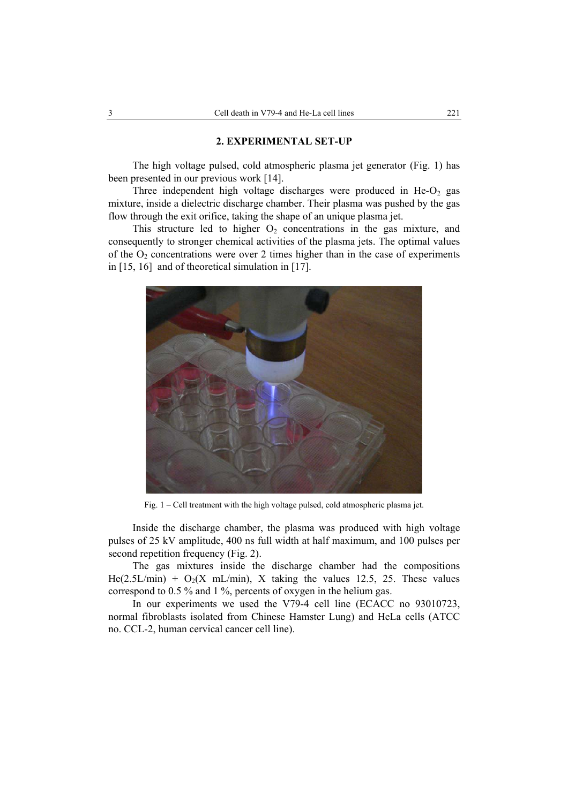### **2. EXPERIMENTAL SET-UP**

The high voltage pulsed, cold atmospheric plasma jet generator (Fig. 1) has been presented in our previous work [14].

Three independent high voltage discharges were produced in  $He-O<sub>2</sub>$  gas mixture, inside a dielectric discharge chamber. Their plasma was pushed by the gas flow through the exit orifice, taking the shape of an unique plasma jet.

This structure led to higher  $O_2$  concentrations in the gas mixture, and consequently to stronger chemical activities of the plasma jets. The optimal values of the  $O_2$  concentrations were over 2 times higher than in the case of experiments in [15, 16] and of theoretical simulation in [17].



Fig. 1 – Cell treatment with the high voltage pulsed, cold atmospheric plasma jet.

Inside the discharge chamber, the plasma was produced with high voltage pulses of 25 kV amplitude, 400 ns full width at half maximum, and 100 pulses per second repetition frequency (Fig. 2).

The gas mixtures inside the discharge chamber had the compositions He(2.5L/min) +  $O_2(X \text{ mL/min})$ , X taking the values 12.5, 25. These values correspond to 0.5 % and 1 %, percents of oxygen in the helium gas.

In our experiments we used the V79-4 cell line (ECACC no 93010723, normal fibroblasts isolated from Chinese Hamster Lung) and HeLa cells (ATCC no. CCL-2, human cervical cancer cell line).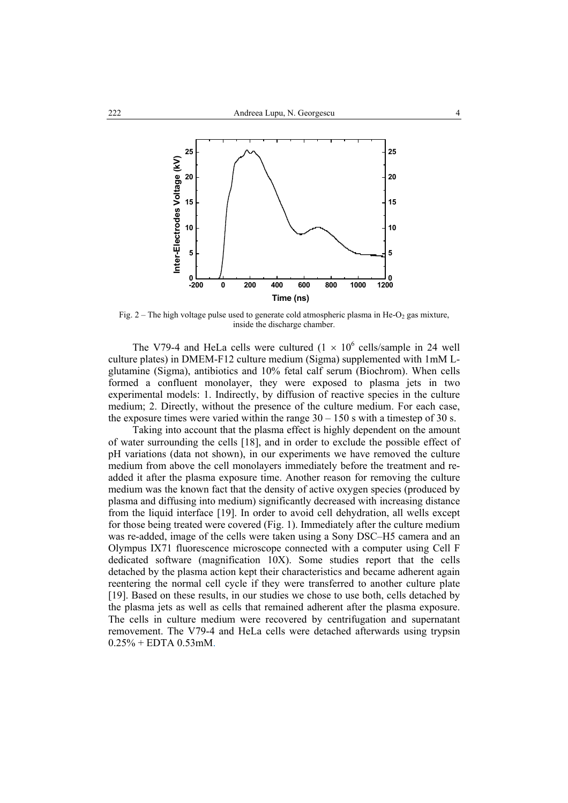

Fig. 2 – The high voltage pulse used to generate cold atmospheric plasma in He- $O_2$  gas mixture, inside the discharge chamber.

The V79-4 and HeLa cells were cultured  $(1 \times 10^6 \text{ cells/sample in } 24 \text{ well}$ culture plates) in DMEM-F12 culture medium (Sigma) supplemented with 1mM Lglutamine (Sigma), antibiotics and 10% fetal calf serum (Biochrom). When cells formed a confluent monolayer, they were exposed to plasma jets in two experimental models: 1. Indirectly, by diffusion of reactive species in the culture medium; 2. Directly, without the presence of the culture medium. For each case, the exposure times were varied within the range  $30 - 150$  s with a timestep of 30 s.

Taking into account that the plasma effect is highly dependent on the amount of water surrounding the cells [18], and in order to exclude the possible effect of pH variations (data not shown), in our experiments we have removed the culture medium from above the cell monolayers immediately before the treatment and readded it after the plasma exposure time. Another reason for removing the culture medium was the known fact that the density of active oxygen species (produced by plasma and diffusing into medium) significantly decreased with increasing distance from the liquid interface [19]. In order to avoid cell dehydration, all wells except for those being treated were covered (Fig. 1). Immediately after the culture medium was re-added, image of the cells were taken using a Sony DSC–H5 camera and an Olympus IX71 fluorescence microscope connected with a computer using Cell F dedicated software (magnification 10X). Some studies report that the cells detached by the plasma action kept their characteristics and became adherent again reentering the normal cell cycle if they were transferred to another culture plate [19]. Based on these results, in our studies we chose to use both, cells detached by the plasma jets as well as cells that remained adherent after the plasma exposure. The cells in culture medium were recovered by centrifugation and supernatant removement. The V79-4 and HeLa cells were detached afterwards using trypsin  $0.25\% + EDTA$  0.53mM.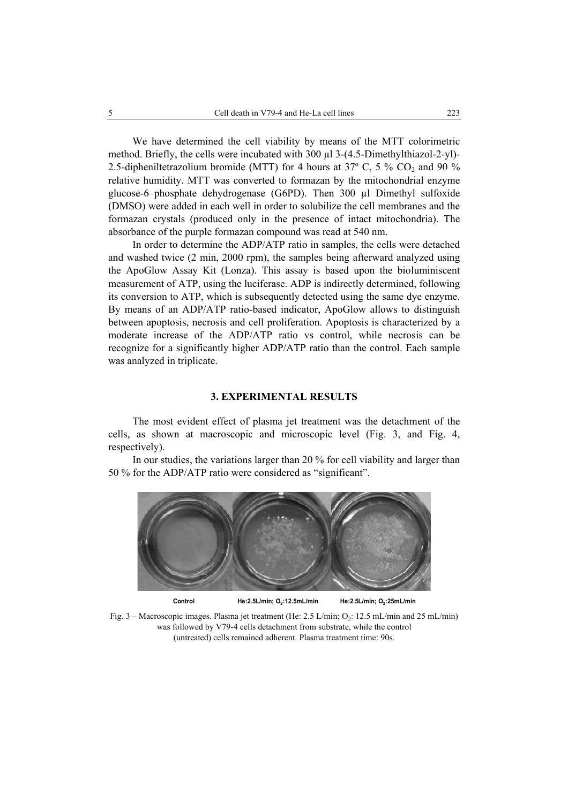We have determined the cell viability by means of the MTT colorimetric method. Briefly, the cells were incubated with 300 µl 3-(4.5-Dimethylthiazol-2-yl)- 2.5-dipheniltetrazolium bromide (MTT) for 4 hours at 37° C, 5 % CO<sub>2</sub> and 90 % relative humidity. MTT was converted to formazan by the mitochondrial enzyme glucose-6–phosphate dehydrogenase (G6PD). Then 300 µl Dimethyl sulfoxide (DMSO) were added in each well in order to solubilize the cell membranes and the formazan crystals (produced only in the presence of intact mitochondria). The absorbance of the purple formazan compound was read at 540 nm.

In order to determine the ADP/ATP ratio in samples, the cells were detached and washed twice (2 min, 2000 rpm), the samples being afterward analyzed using the ApoGlow Assay Kit (Lonza). This assay is based upon the bioluminiscent measurement of ATP, using the luciferase. ADP is indirectly determined, following its conversion to ATP, which is subsequently detected using the same dye enzyme. By means of an ADP/ATP ratio-based indicator, ApoGlow allows to distinguish between apoptosis, necrosis and cell proliferation. Apoptosis is characterized by a moderate increase of the ADP/ATP ratio vs control, while necrosis can be recognize for a significantly higher ADP/ATP ratio than the control. Each sample was analyzed in triplicate.

#### **3. EXPERIMENTAL RESULTS**

The most evident effect of plasma jet treatment was the detachment of the cells, as shown at macroscopic and microscopic level (Fig. 3, and Fig. 4, respectively).

In our studies, the variations larger than 20 % for cell viability and larger than 50 % for the ADP/ATP ratio were considered as "significant".





Control **He:2.5L/min; O<sub>2</sub>:12.5mL/min He:2.5L/min; O<sub>2</sub>:25mL/min** 

Fig. 3 – Macroscopic images. Plasma jet treatment (He: 2.5 L/min; O<sub>2</sub>: 12.5 mL/min and 25 mL/min) was followed by V79-4 cells detachment from substrate, while the control (untreated) cells remained adherent. Plasma treatment time: 90s.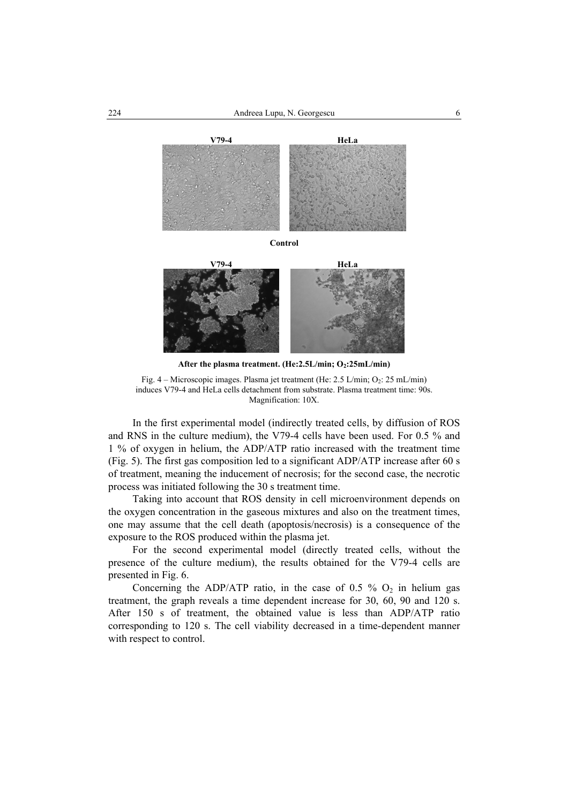

**Control** 



After the plasma treatment. (He:2.5L/min; O<sub>2</sub>:25mL/min)

Fig.  $4 -$ Microscopic images. Plasma jet treatment (He: 2.5 L/min; O<sub>2</sub>: 25 mL/min) induces V79-4 and HeLa cells detachment from substrate. Plasma treatment time: 90s. Magnification: 10X.

In the first experimental model (indirectly treated cells, by diffusion of ROS and RNS in the culture medium), the V79-4 cells have been used. For 0.5 % and 1 % of oxygen in helium, the ADP/ATP ratio increased with the treatment time (Fig. 5). The first gas composition led to a significant ADP/ATP increase after 60 s of treatment, meaning the inducement of necrosis; for the second case, the necrotic process was initiated following the 30 s treatment time.

Taking into account that ROS density in cell microenvironment depends on the oxygen concentration in the gaseous mixtures and also on the treatment times, one may assume that the cell death (apoptosis/necrosis) is a consequence of the exposure to the ROS produced within the plasma jet.

For the second experimental model (directly treated cells, without the presence of the culture medium), the results obtained for the V79-4 cells are presented in Fig. 6.

Concerning the ADP/ATP ratio, in the case of 0.5 %  $O_2$  in helium gas treatment, the graph reveals a time dependent increase for 30, 60, 90 and 120 s. After 150 s of treatment, the obtained value is less than ADP/ATP ratio corresponding to 120 s. The cell viability decreased in a time-dependent manner with respect to control.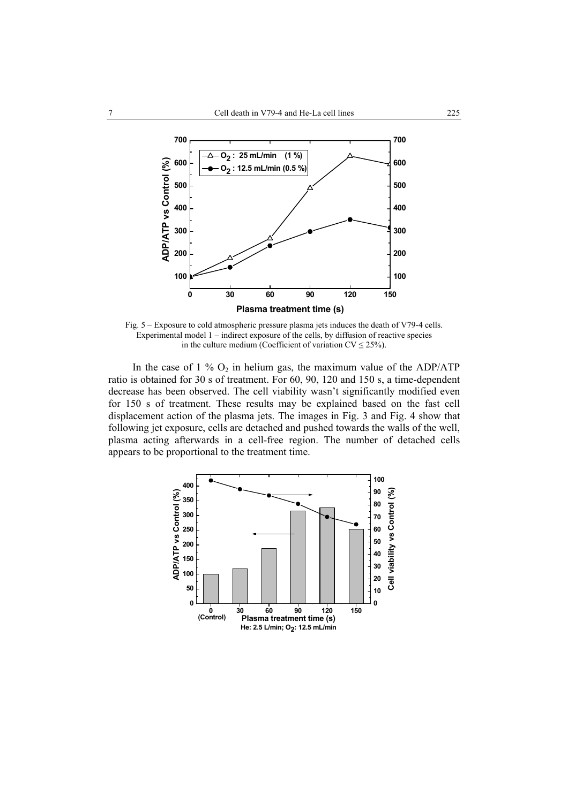

Fig. 5 – Exposure to cold atmospheric pressure plasma jets induces the death of V79-4 cells. Experimental model 1 – indirect exposure of the cells, by diffusion of reactive species in the culture medium (Coefficient of variation  $CV \le 25\%$ ).

In the case of  $1\%$  O<sub>2</sub> in helium gas, the maximum value of the ADP/ATP ratio is obtained for 30 s of treatment. For 60, 90, 120 and 150 s, a time-dependent decrease has been observed. The cell viability wasn't significantly modified even for 150 s of treatment. These results may be explained based on the fast cell displacement action of the plasma jets. The images in Fig. 3 and Fig. 4 show that following jet exposure, cells are detached and pushed towards the walls of the well, plasma acting afterwards in a cell-free region. The number of detached cells appears to be proportional to the treatment time.

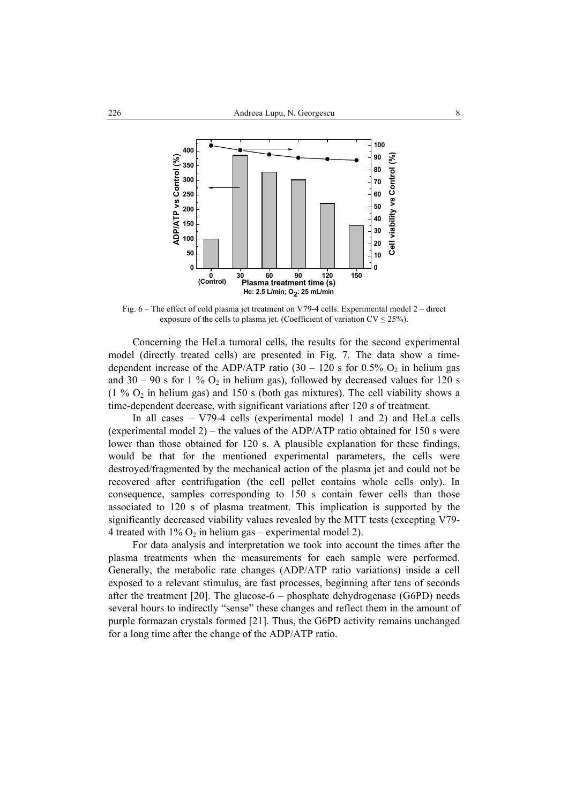

Fig. 6 – The effect of cold plasma jet treatment on V79-4 cells. Experimental model 2 – direct exposure of the cells to plasma jet. (Coefficient of variation  $CV \le 25\%$ ).

Concerning the HeLa tumoral cells, the results for the second experimental model (directly treated cells) are presented in Fig. 7. The data show a timedependent increase of the ADP/ATP ratio  $(30 - 120 \text{ s}$  for  $0.5\%$  O<sub>2</sub> in helium gas and 30 – 90 s for 1 %  $O_2$  in helium gas), followed by decreased values for 120 s (1 %  $O_2$  in helium gas) and 150 s (both gas mixtures). The cell viability shows a time-dependent decrease, with significant variations after 120 s of treatment.

In all cases – V79-4 cells (experimental model 1 and 2) and HeLa cells (experimental model 2) – the values of the ADP/ATP ratio obtained for 150 s were lower than those obtained for 120 s. A plausible explanation for these findings, would be that for the mentioned experimental parameters, the cells were destroyed/fragmented by the mechanical action of the plasma jet and could not be recovered after centrifugation (the cell pellet contains whole cells only). In consequence, samples corresponding to 150 s contain fewer cells than those associated to 120 s of plasma treatment. This implication is supported by the significantly decreased viability values revealed by the MTT tests (excepting V79- 4 treated with  $1\%$  O<sub>2</sub> in helium gas – experimental model 2).

For data analysis and interpretation we took into account the times after the plasma treatments when the measurements for each sample were performed. Generally, the metabolic rate changes (ADP/ATP ratio variations) inside a cell exposed to a relevant stimulus, are fast processes, beginning after tens of seconds after the treatment [20]. The glucose-6 – phosphate dehydrogenase (G6PD) needs several hours to indirectly "sense" these changes and reflect them in the amount of purple formazan crystals formed [21]. Thus, the G6PD activity remains unchanged for a long time after the change of the ADP/ATP ratio.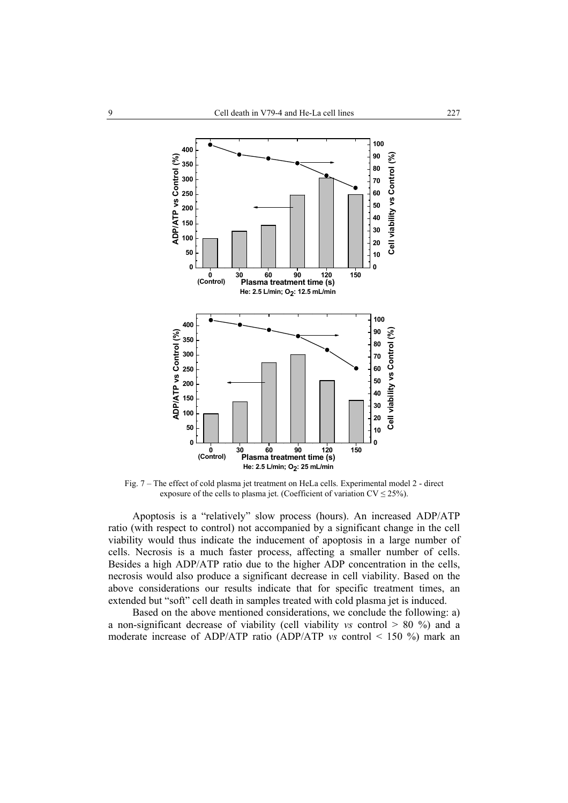

Fig. 7 – The effect of cold plasma jet treatment on HeLa cells. Experimental model 2 - direct exposure of the cells to plasma jet. (Coefficient of variation  $CV \le 25\%$ ).

Apoptosis is a "relatively" slow process (hours). An increased ADP/ATP ratio (with respect to control) not accompanied by a significant change in the cell viability would thus indicate the inducement of apoptosis in a large number of cells. Necrosis is a much faster process, affecting a smaller number of cells. Besides a high ADP/ATP ratio due to the higher ADP concentration in the cells, necrosis would also produce a significant decrease in cell viability. Based on the above considerations our results indicate that for specific treatment times, an extended but "soft" cell death in samples treated with cold plasma jet is induced.

Based on the above mentioned considerations, we conclude the following: a) a non-significant decrease of viability (cell viability *vs* control > 80 %) and a moderate increase of ADP/ATP ratio (ADP/ATP *vs* control < 150 %) mark an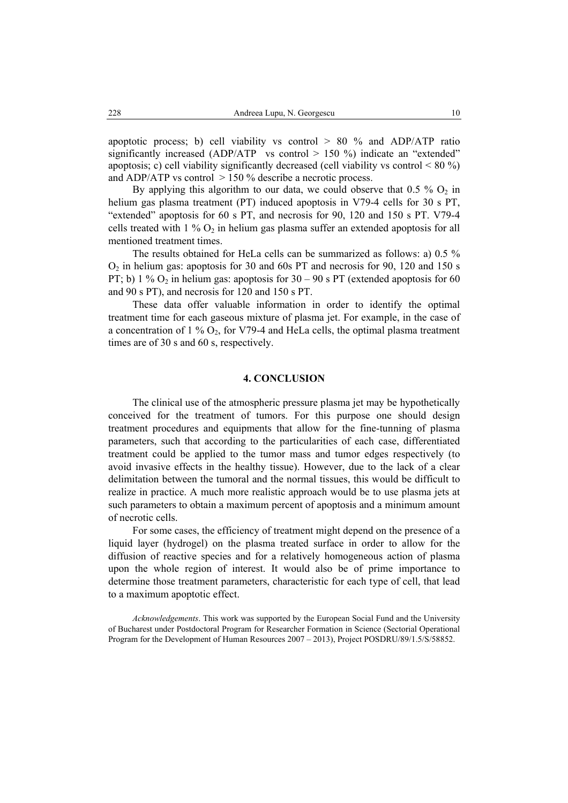apoptotic process; b) cell viability vs control  $> 80$  % and ADP/ATP ratio significantly increased (ADP/ATP vs control  $> 150$  %) indicate an "extended" apoptosis; c) cell viability significantly decreased (cell viability vs control  $\leq 80\%$ ) and ADP/ATP vs control  $> 150$  % describe a necrotic process.

By applying this algorithm to our data, we could observe that  $0.5\%$  O<sub>2</sub> in helium gas plasma treatment (PT) induced apoptosis in V79-4 cells for 30 s PT, "extended" apoptosis for 60 s PT, and necrosis for 90, 120 and 150 s PT. V79-4 cells treated with  $1\%$  O<sub>2</sub> in helium gas plasma suffer an extended apoptosis for all mentioned treatment times.

The results obtained for HeLa cells can be summarized as follows: a) 0.5 %  $O<sub>2</sub>$  in helium gas: apoptosis for 30 and 60s PT and necrosis for 90, 120 and 150 s PT; b) 1 %  $O_2$  in helium gas: apoptosis for 30 – 90 s PT (extended apoptosis for 60 and 90 s PT), and necrosis for 120 and 150 s PT.

These data offer valuable information in order to identify the optimal treatment time for each gaseous mixture of plasma jet. For example, in the case of a concentration of 1 %  $O_2$ , for V79-4 and HeLa cells, the optimal plasma treatment times are of 30 s and 60 s, respectively.

#### **4. CONCLUSION**

The clinical use of the atmospheric pressure plasma jet may be hypothetically conceived for the treatment of tumors. For this purpose one should design treatment procedures and equipments that allow for the fine-tunning of plasma parameters, such that according to the particularities of each case, differentiated treatment could be applied to the tumor mass and tumor edges respectively (to avoid invasive effects in the healthy tissue). However, due to the lack of a clear delimitation between the tumoral and the normal tissues, this would be difficult to realize in practice. A much more realistic approach would be to use plasma jets at such parameters to obtain a maximum percent of apoptosis and a minimum amount of necrotic cells.

For some cases, the efficiency of treatment might depend on the presence of a liquid layer (hydrogel) on the plasma treated surface in order to allow for the diffusion of reactive species and for a relatively homogeneous action of plasma upon the whole region of interest. It would also be of prime importance to determine those treatment parameters, characteristic for each type of cell, that lead to a maximum apoptotic effect.

*Acknowledgements*. This work was supported by the European Social Fund and the University of Bucharest under Postdoctoral Program for Researcher Formation in Science (Sectorial Operational Program for the Development of Human Resources 2007 – 2013), Project POSDRU/89/1.5/S/58852.